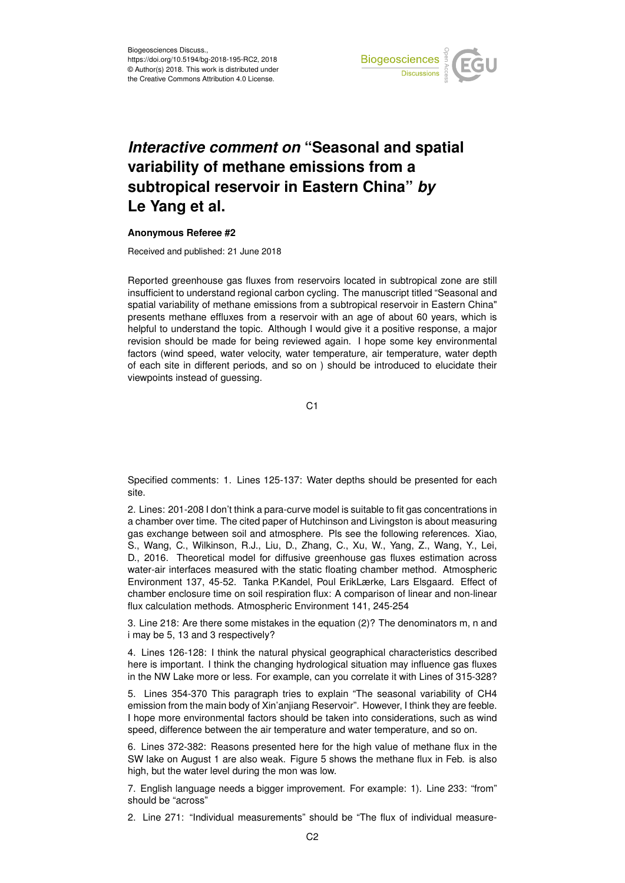

## *Interactive comment on* **"Seasonal and spatial variability of methane emissions from a subtropical reservoir in Eastern China"** *by* **Le Yang et al.**

## **Anonymous Referee #2**

Received and published: 21 June 2018

Reported greenhouse gas fluxes from reservoirs located in subtropical zone are still insufficient to understand regional carbon cycling. The manuscript titled "Seasonal and spatial variability of methane emissions from a subtropical reservoir in Eastern China" presents methane effluxes from a reservoir with an age of about 60 years, which is helpful to understand the topic. Although I would give it a positive response, a major revision should be made for being reviewed again. I hope some key environmental factors (wind speed, water velocity, water temperature, air temperature, water depth of each site in different periods, and so on ) should be introduced to elucidate their viewpoints instead of guessing.

C1

Specified comments: 1. Lines 125-137: Water depths should be presented for each site.

2. Lines: 201-208 I don't think a para-curve model is suitable to fit gas concentrations in a chamber over time. The cited paper of Hutchinson and Livingston is about measuring gas exchange between soil and atmosphere. Pls see the following references. Xiao, S., Wang, C., Wilkinson, R.J., Liu, D., Zhang, C., Xu, W., Yang, Z., Wang, Y., Lei, D., 2016. Theoretical model for diffusive greenhouse gas fluxes estimation across water-air interfaces measured with the static floating chamber method. Atmospheric Environment 137, 45-52. Tanka P.Kandel, Poul ErikLærke, Lars Elsgaard. Effect of chamber enclosure time on soil respiration flux: A comparison of linear and non-linear flux calculation methods. Atmospheric Environment 141, 245-254

3. Line 218: Are there some mistakes in the equation (2)? The denominators m, n and i may be 5, 13 and 3 respectively?

4. Lines 126-128: I think the natural physical geographical characteristics described here is important. I think the changing hydrological situation may influence gas fluxes in the NW Lake more or less. For example, can you correlate it with Lines of 315-328?

5. Lines 354-370 This paragraph tries to explain "The seasonal variability of CH4 emission from the main body of Xin'anjiang Reservoir". However, I think they are feeble. I hope more environmental factors should be taken into considerations, such as wind speed, difference between the air temperature and water temperature, and so on.

6. Lines 372-382: Reasons presented here for the high value of methane flux in the SW lake on August 1 are also weak. Figure 5 shows the methane flux in Feb. is also high, but the water level during the mon was low.

7. English language needs a bigger improvement. For example: 1). Line 233: "from" should be "across"

2. Line 271: "Individual measurements" should be "The flux of individual measure-